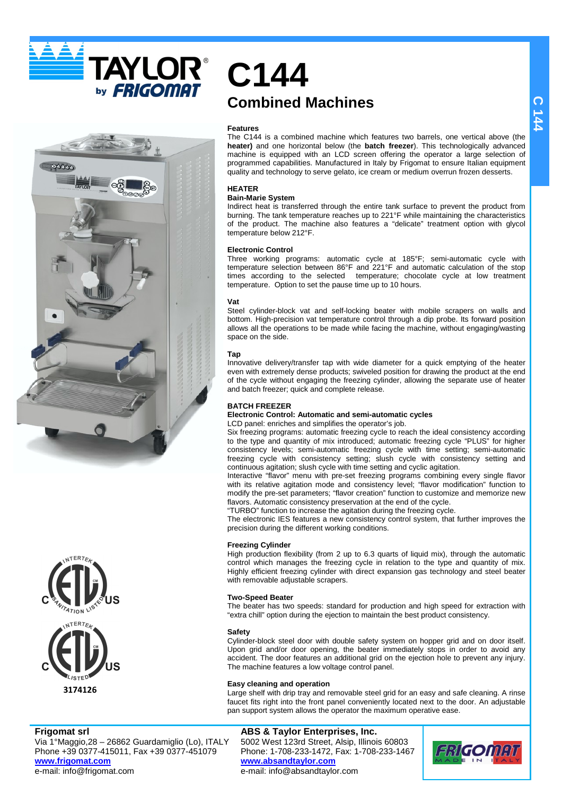

**TAYLOR®** *FRIGOMAT* 





**Frigomat srl**

Via 1°Maggio,28 – 26862 Guardamiglio (Lo), ITALY Phone +39 0377-415011, Fax +39 0377-451079 **www.frigomat.com** e-mail: info@frigomat.com

# **C144 Combined Machines**

### **Features**

The C144 is a combined machine which features two barrels, one vertical above (the **heater)** and one horizontal below (the **batch freezer**). This technologically advanced machine is equipped with an LCD screen offering the operator a large selection of programmed capabilities. Manufactured in Italy by Frigomat to ensure Italian equipment quality and technology to serve gelato, ice cream or medium overrun frozen desserts.

## **HEATER**

### **Bain-Marie System**

Indirect heat is transferred through the entire tank surface to prevent the product from burning. The tank temperature reaches up to 221°F while maintaining the characteristics of the product. The machine also features a "delicate" treatment option with glycol temperature below 212°F.

### **Electronic Control**

Three working programs: automatic cycle at 185°F; semi-automatic cycle with temperature selection between 86°F and 221°F and automatic calculation of the stop times according to the selected temperature; chocolate cycle at low treatment temperature. Option to set the pause time up to 10 hours.

### **Vat**

Steel cylinder-block vat and self-locking beater with mobile scrapers on walls and bottom. High-precision vat temperature control through a dip probe. Its forward position allows all the operations to be made while facing the machine, without engaging/wasting space on the side.

### **Tap**

Innovative delivery/transfer tap with wide diameter for a quick emptying of the heater even with extremely dense products; swiveled position for drawing the product at the end of the cycle without engaging the freezing cylinder, allowing the separate use of heater and batch freezer; quick and complete release.

### **BATCH FREEZER**

### **Electronic Control: Automatic and semi-automatic cycles**  LCD panel: enriches and simplifies the operator's job.

Six freezing programs: automatic freezing cycle to reach the ideal consistency according to the type and quantity of mix introduced; automatic freezing cycle "PLUS" for higher consistency levels; semi-automatic freezing cycle with time setting; semi-automatic freezing cycle with consistency setting; slush cycle with consistency setting and continuous agitation; slush cycle with time setting and cyclic agitation.

Interactive "flavor" menu with pre-set freezing programs combining every single flavor with its relative agitation mode and consistency level; "flavor modification" function to modify the pre-set parameters; "flavor creation" function to customize and memorize new flavors. Automatic consistency preservation at the end of the cycle. "TURBO" function to increase the agitation during the freezing cycle.

The electronic IES features a new consistency control system, that further improves the precision during the different working conditions.

### **Freezing Cylinder**

High production flexibility (from 2 up to 6.3 quarts of liquid mix), through the automatic control which manages the freezing cycle in relation to the type and quantity of mix. Highly efficient freezing cylinder with direct expansion gas technology and steel beater with removable adjustable scrapers.

### **Two-Speed Beater**

The beater has two speeds: standard for production and high speed for extraction with "extra chill" option during the ejection to maintain the best product consistency.

### **Safety**

Cylinder-block steel door with double safety system on hopper grid and on door itself. Upon grid and/or door opening, the beater immediately stops in order to avoid any accident. The door features an additional grid on the ejection hole to prevent any injury. The machine features a low voltage control panel.

### **Easy cleaning and operation**

Large shelf with drip tray and removable steel grid for an easy and safe cleaning. A rinse faucet fits right into the front panel conveniently located next to the door. An adjustable pan support system allows the operator the maximum operative ease.

## **ABS & Taylor Enterprises, Inc.**

5002 West 123rd Street, Alsip, Illinois 60803 Phone: 1-708-233-1472, Fax: 1-708-233-1467 **www.absandtaylor.com** e-mail: info@absandtaylor.com